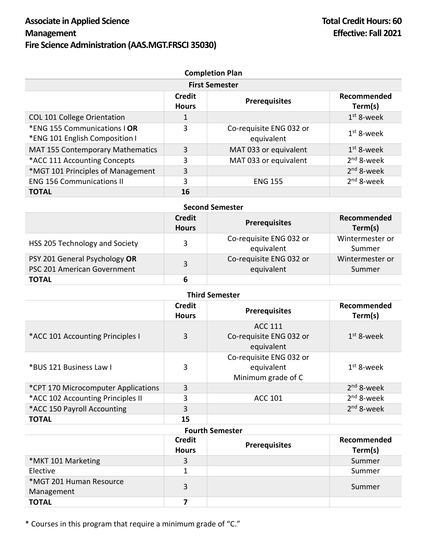| <b>Completion Plan</b><br><b>First Semester</b>                |    |                                       |              |  |  |
|----------------------------------------------------------------|----|---------------------------------------|--------------|--|--|
|                                                                |    |                                       |              |  |  |
| COL 101 College Orientation                                    |    |                                       | $1st$ 8-week |  |  |
| *ENG 155 Communications   OR<br>*ENG 101 English Composition I | 3  | Co-requisite ENG 032 or<br>equivalent | $1st$ 8-week |  |  |
| MAT 155 Contemporary Mathematics                               | 3  | MAT 033 or equivalent                 | $1st$ 8-week |  |  |
| *ACC 111 Accounting Concepts                                   | 3  | MAT 033 or equivalent                 | $2nd$ 8-week |  |  |
| *MGT 101 Principles of Management                              | 3  |                                       | $2nd$ 8-week |  |  |
| <b>ENG 156 Communications II</b>                               | 3  | <b>ENG 155</b>                        | $2nd$ 8-week |  |  |
| <b>TOTAL</b>                                                   | 16 |                                       |              |  |  |

| <b>Second Semester</b>                                       |                               |                                       |                           |  |  |
|--------------------------------------------------------------|-------------------------------|---------------------------------------|---------------------------|--|--|
|                                                              | <b>Credit</b><br><b>Hours</b> | <b>Prerequisites</b>                  | Recommended<br>Term(s)    |  |  |
| HSS 205 Technology and Society                               | 3                             | Co-requisite ENG 032 or<br>equivalent | Wintermester or<br>Summer |  |  |
| PSY 201 General Psychology OR<br>PSC 201 American Government | 3                             | Co-requisite ENG 032 or<br>equivalent | Wintermester or<br>Summer |  |  |
| <b>TOTAL</b>                                                 | 6                             |                                       |                           |  |  |

| <b>Third Semester</b>               |                        |                                                             |                        |  |  |
|-------------------------------------|------------------------|-------------------------------------------------------------|------------------------|--|--|
|                                     | Credit<br><b>Hours</b> | <b>Prerequisites</b>                                        | Recommended<br>Term(s) |  |  |
| *ACC 101 Accounting Principles I    | 3                      | <b>ACC 111</b><br>Co-requisite ENG 032 or<br>equivalent     | $1st$ 8-week           |  |  |
| *BUS 121 Business Law I             | 3                      | Co-requisite ENG 032 or<br>equivalent<br>Minimum grade of C | $1st$ 8-week           |  |  |
| *CPT 170 Microcomputer Applications | 3                      |                                                             | $2nd$ 8-week           |  |  |
| *ACC 102 Accounting Principles II   | 3                      | <b>ACC 101</b>                                              | $2nd$ 8-week           |  |  |
| *ACC 150 Payroll Accounting         | 3                      |                                                             | 2 <sup>nd</sup> 8-week |  |  |
| <b>TOTAL</b>                        | 15                     |                                                             |                        |  |  |

## **Fourth Semester**

|                                       | <b>Credit</b><br><b>Hours</b> | <b>Prerequisites</b> | Recommended<br>Term(s) |
|---------------------------------------|-------------------------------|----------------------|------------------------|
| *MKT 101 Marketing                    | 3                             |                      | Summer                 |
| Elective                              |                               |                      | Summer                 |
| *MGT 201 Human Resource<br>Management | 3                             |                      | Summer                 |
| <b>TOTAL</b>                          |                               |                      |                        |

\* Courses in this program that require a minimum grade of "C."